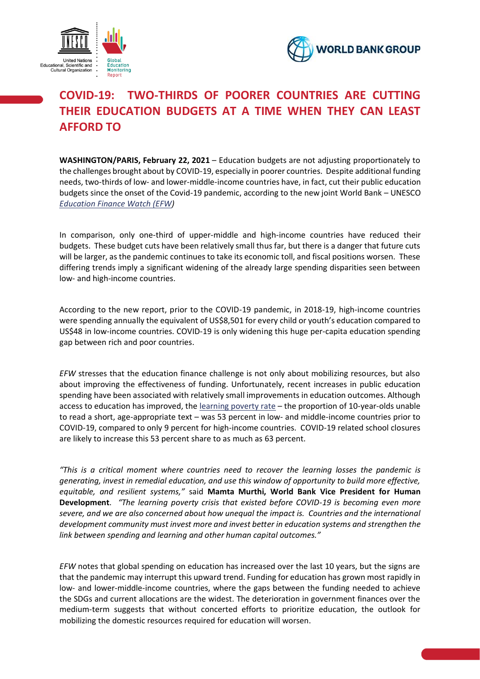



# **COVID-19: TWO-THIRDS OF POORER COUNTRIES ARE CUTTING THEIR EDUCATION BUDGETS AT A TIME WHEN THEY CAN LEAST AFFORD TO**

**WASHINGTON/PARIS, February 22, 2021** – Education budgets are not adjusting proportionately to the challenges brought about by COVID-19, especially in poorer countries. Despite additional funding needs, two-thirds of low- and lower-middle-income countries have, in fact, cut their public education budgets since the onset of the Covid-19 pandemic, according to the new joint World Bank – UNESCO *Education Finance Watch (EFW)*

In comparison, only one-third of upper-middle and high-income countries have reduced their budgets. These budget cuts have been relatively small thus far, but there is a danger that future cuts will be larger, as the pandemic continues to take its economic toll, and fiscal positions worsen. These differing trends imply a significant widening of the already large spending disparities seen between low- and high-income countries.

According to the new report, prior to the COVID-19 pandemic, in 2018-19, high-income countries were spending annually the equivalent of US\$8,501 for every child or youth's education compared to US\$48 in low-income countries. COVID-19 is only widening this huge per-capita education spending gap between rich and poor countries.

*EFW* stresses that the education finance challenge is not only about mobilizing resources, but also about improving the effectiveness of funding. Unfortunately, recent increases in public education spending have been associated with relatively small improvements in education outcomes. Although access to education has improved, the learning poverty rate – the proportion of 10-year-olds unable to read a short, age-appropriate text – was 53 percent in low- and middle-income countries prior to COVID-19, compared to only 9 percent for high-income countries. COVID-19 related school closures are likely to increase this 53 percent share to as much as 63 percent.

*"This is a critical moment where countries need to recover the learning losses the pandemic is generating, invest in remedial education, and use this window of opportunity to build more effective, equitable, and resilient systems,"* said **Mamta Murthi, World Bank Vice President for Human Development**. *"The learning poverty crisis that existed before COVID-19 is becoming even more severe, and we are also concerned about how unequal the impact is. Countries and the international development community must invest more and invest better in education systems and strengthen the link between spending and learning and other human capital outcomes."*

*EFW* notes that global spending on education has increased over the last 10 years, but the signs are that the pandemic may interrupt this upward trend. Funding for education has grown most rapidly in low- and lower-middle-income countries, where the gaps between the funding needed to achieve the SDGs and current allocations are the widest. The deterioration in government finances over the medium-term suggests that without concerted efforts to prioritize education, the outlook for mobilizing the domestic resources required for education will worsen.